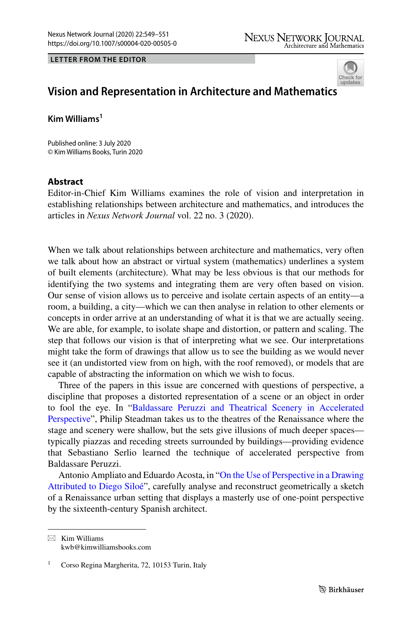## **LETTER FROM THE EDITOR**



## **Vision and Representation in Architecture and Mathematic[s](http://crossmark.crossref.org/dialog/?doi=10.1007/s00004-020-00505-0&domain=pdf)**

**Kim Williams1**

Published online: 3 July 2020 © Kim Williams Books, Turin 2020

## **Abstract**

Editor-in-Chief Kim Williams examines the role of vision and interpretation in establishing relationships between architecture and mathematics, and introduces the articles in *Nexus Network Journal* vol. 22 no. 3 (2020).

When we talk about relationships between architecture and mathematics, very often we talk about how an abstract or virtual system (mathematics) underlines a system of built elements (architecture). What may be less obvious is that our methods for identifying the two systems and integrating them are very often based on vision. Our sense of vision allows us to perceive and isolate certain aspects of an entity—a room, a building, a city—which we can then analyse in relation to other elements or concepts in order arrive at an understanding of what it is that we are actually seeing. We are able, for example, to isolate shape and distortion, or pattern and scaling. The step that follows our vision is that of interpreting what we see. Our interpretations might take the form of drawings that allow us to see the building as we would never see it (an undistorted view from on high, with the roof removed), or models that are capable of abstracting the information on which we wish to focus.

Three of the papers in this issue are concerned with questions of perspective, a discipline that proposes a distorted representation of a scene or an object in order to fool the eye. In ["Baldassare Peruzzi and Theatrical Scenery in Accelerated](https://link.springer.com/article/10.1007/s00004-020-00479-z) [Perspective"](https://link.springer.com/article/10.1007/s00004-020-00479-z), Philip Steadman takes us to the theatres of the Renaissance where the stage and scenery were shallow, but the sets give illusions of much deeper spaces typically piazzas and receding streets surrounded by buildings—providing evidence that Sebastiano Serlio learned the technique of accelerated perspective from Baldassare Peruzzi.

Antonio Ampliato and Eduardo Acosta, in "[On the Use of Perspective in a Drawing](https://link.springer.com/article/10.1007/s00004-020-00487-z) [Attributed to Diego Siloé](https://link.springer.com/article/10.1007/s00004-020-00487-z)", carefully analyse and reconstruct geometrically a sketch of a Renaissance urban setting that displays a masterly use of one-point perspective by the sixteenth-century Spanish architect.

 $\boxtimes$  Kim Williams kwb@kimwilliamsbooks.com

Corso Regina Margherita, 72, 10153 Turin, Italy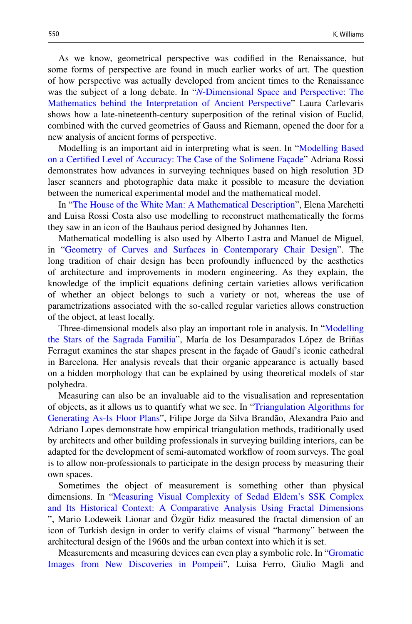As we know, geometrical perspective was codifed in the Renaissance, but some forms of perspective are found in much earlier works of art. The question of how perspective was actually developed from ancient times to the Renaissance was the subject of a long debate. In "*N*[-Dimensional Space and Perspective: The](https://link.springer.com/article/10.1007/s00004-020-00476-2) [Mathematics behind the Interpretation of Ancient Perspective"](https://link.springer.com/article/10.1007/s00004-020-00476-2) Laura Carlevaris shows how a late-nineteenth-century superposition of the retinal vision of Euclid, combined with the curved geometries of Gauss and Riemann, opened the door for a new analysis of ancient forms of perspective.

Modelling is an important aid in interpreting what is seen. In ["Modelling Based](https://link.springer.com/article/10.1007/s00004-019-00474-z) [on a Certifed Level of Accuracy: The Case of the Solimene Façade](https://link.springer.com/article/10.1007/s00004-019-00474-z)" Adriana Rossi demonstrates how advances in surveying techniques based on high resolution 3D laser scanners and photographic data make it possible to measure the deviation between the numerical experimental model and the mathematical model.

In "[The House of the White Man: A Mathematical Description"](https://link.springer.com/article/10.1007/s00004-020-00489-x), Elena Marchetti and Luisa Rossi Costa also use modelling to reconstruct mathematically the forms they saw in an icon of the Bauhaus period designed by Johannes Iten.

Mathematical modelling is also used by Alberto Lastra and Manuel de Miguel, in ["Geometry of Curves and Surfaces in Contemporary Chair Design"](https://link.springer.com/article/10.1007/s00004-020-00477-1). The long tradition of chair design has been profoundly infuenced by the aesthetics of architecture and improvements in modern engineering. As they explain, the knowledge of the implicit equations defning certain varieties allows verifcation of whether an object belongs to such a variety or not, whereas the use of parametrizations associated with the so-called regular varieties allows construction of the object, at least locally.

Three-dimensional models also play an important role in analysis. In "[Modelling](https://link.springer.com/article/10.1007/s00004-020-00488-y) [the Stars of the Sagrada Familia"](https://link.springer.com/article/10.1007/s00004-020-00488-y), María de los Desamparados López de Briñas Ferragut examines the star shapes present in the façade of Gaudí's iconic cathedral in Barcelona. Her analysis reveals that their organic appearance is actually based on a hidden morphology that can be explained by using theoretical models of star polyhedra.

Measuring can also be an invaluable aid to the visualisation and representation of objects, as it allows us to quantify what we see. In ["Triangulation Algorithms for](https://link.springer.com/article/10.1007/s00004-020-00491-3) [Generating As-Is Floor Plans"](https://link.springer.com/article/10.1007/s00004-020-00491-3), Filipe Jorge da Silva Brandão, Alexandra Paio and Adriano Lopes demonstrate how empirical triangulation methods, traditionally used by architects and other building professionals in surveying building interiors, can be adapted for the development of semi-automated workfow of room surveys. The goal is to allow non-professionals to participate in the design process by measuring their own spaces.

Sometimes the object of measurement is something other than physical dimensions. In "[Measuring Visual Complexity of Sedad Eldem's SSK Complex](https://link.springer.com/article/10.1007/s00004-020-00482-4) [and Its Historical Context: A Comparative Analysis Using Fractal Dimensions](https://link.springer.com/article/10.1007/s00004-020-00482-4) ", Mario Lodeweik Lionar and Özgür Ediz measured the fractal dimension of an icon of Turkish design in order to verify claims of visual "harmony" between the architectural design of the 1960s and the urban context into which it is set.

Measurements and measuring devices can even play a symbolic role. In "[Gromatic](https://link.springer.com/article/10.1007/s00004-020-00496-y) [Images from New Discoveries in Pompeii](https://link.springer.com/article/10.1007/s00004-020-00496-y)", Luisa Ferro, Giulio Magli and